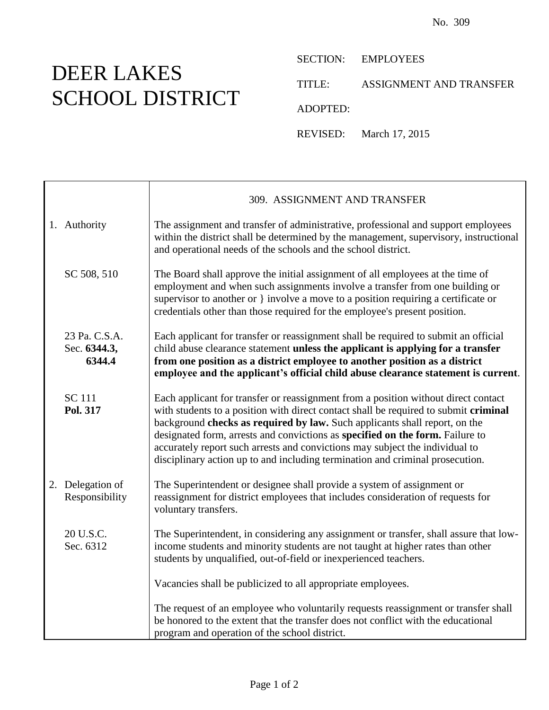## DEER LAKES SCHOOL DISTRICT

SECTION: EMPLOYEES

TITLE: ASSIGNMENT AND TRANSFER

ADOPTED:

REVISED: March 17, 2015

|              |                                         | 309. ASSIGNMENT AND TRANSFER                                                                                                                                                                                                                                                                                                                                                                                                                                                                               |  |
|--------------|-----------------------------------------|------------------------------------------------------------------------------------------------------------------------------------------------------------------------------------------------------------------------------------------------------------------------------------------------------------------------------------------------------------------------------------------------------------------------------------------------------------------------------------------------------------|--|
| 1. Authority |                                         | The assignment and transfer of administrative, professional and support employees<br>within the district shall be determined by the management, supervisory, instructional<br>and operational needs of the schools and the school district.                                                                                                                                                                                                                                                                |  |
|              | SC 508, 510                             | The Board shall approve the initial assignment of all employees at the time of<br>employment and when such assignments involve a transfer from one building or<br>supervisor to another or } involve a move to a position requiring a certificate or<br>credentials other than those required for the employee's present position.                                                                                                                                                                         |  |
|              | 23 Pa. C.S.A.<br>Sec. 6344.3,<br>6344.4 | Each applicant for transfer or reassignment shall be required to submit an official<br>child abuse clearance statement unless the applicant is applying for a transfer<br>from one position as a district employee to another position as a district<br>employee and the applicant's official child abuse clearance statement is current.                                                                                                                                                                  |  |
|              | <b>SC</b> 111<br>Pol. 317               | Each applicant for transfer or reassignment from a position without direct contact<br>with students to a position with direct contact shall be required to submit criminal<br>background checks as required by law. Such applicants shall report, on the<br>designated form, arrests and convictions as specified on the form. Failure to<br>accurately report such arrests and convictions may subject the individual to<br>disciplinary action up to and including termination and criminal prosecution. |  |
|              | 2. Delegation of<br>Responsibility      | The Superintendent or designee shall provide a system of assignment or<br>reassignment for district employees that includes consideration of requests for<br>voluntary transfers.                                                                                                                                                                                                                                                                                                                          |  |
|              | 20 U.S.C.<br>Sec. 6312                  | The Superintendent, in considering any assignment or transfer, shall assure that low-<br>income students and minority students are not taught at higher rates than other<br>students by unqualified, out-of-field or inexperienced teachers.                                                                                                                                                                                                                                                               |  |
|              |                                         | Vacancies shall be publicized to all appropriate employees.                                                                                                                                                                                                                                                                                                                                                                                                                                                |  |
|              |                                         | The request of an employee who voluntarily requests reassignment or transfer shall<br>be honored to the extent that the transfer does not conflict with the educational<br>program and operation of the school district.                                                                                                                                                                                                                                                                                   |  |